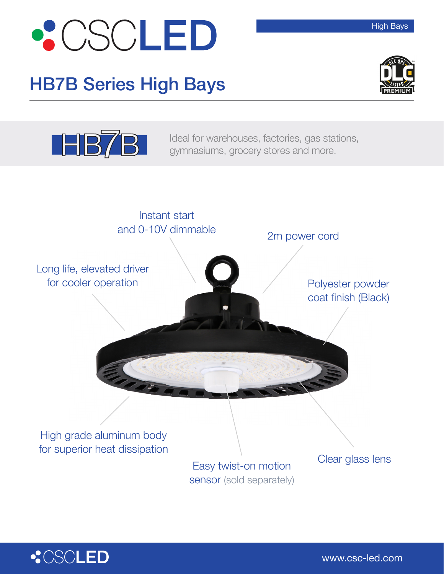

## HB7B Series High Bays



High Bays



**HB7B** Ideal for warehouses, factories, gas stations, gymnasiums, grocery stores and more.